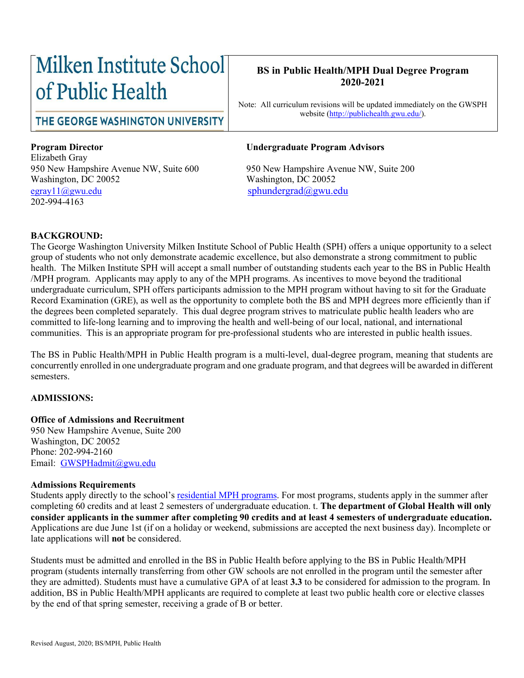# Milken Institute School of Public Health

#### **BS in Public Health/MPH Dual Degree Program 2020-2021**

Note: All curriculum revisions will be updated immediately on the GWSPH website [\(http://publichealth.gwu.edu/\)](http://publichealth.gwu.edu/).

THE GEORGE WASHINGTON UNIVERSITY

Elizabeth Gray 950 New Hampshire Avenue NW, Suite 600 950 New Hampshire Avenue NW, Suite 200 Washington, DC 20052 Washington, DC 20052 [egray11@gwu.edu](mailto:egray11@gwu.edu) [sphundergrad@gwu.edu](mailto:sphundergrad@gwu.edu) 202-994-4163

#### **Program Director Undergraduate Program Advisors**

#### **BACKGROUND:**

The George Washington University Milken Institute School of Public Health (SPH) offers a unique opportunity to a select group of students who not only demonstrate academic excellence, but also demonstrate a strong commitment to public health. The Milken Institute SPH will accept a small number of outstanding students each year to the BS in Public Health /MPH program. Applicants may apply to any of the MPH programs. As incentives to move beyond the traditional undergraduate curriculum, SPH offers participants admission to the MPH program without having to sit for the Graduate Record Examination (GRE), as well as the opportunity to complete both the BS and MPH degrees more efficiently than if the degrees been completed separately. This dual degree program strives to matriculate public health leaders who are committed to life-long learning and to improving the health and well-being of our local, national, and international communities. This is an appropriate program for pre-professional students who are interested in public health issues.

The BS in Public Health/MPH in Public Health program is a multi-level, dual-degree program, meaning that students are concurrently enrolled in one undergraduate program and one graduate program, and that degrees will be awarded in different semesters.

#### **ADMISSIONS:**

#### **Office of Admissions and Recruitment**

950 New Hampshire Avenue, Suite 200 Washington, DC 20052 Phone: 202-994-2160 Email: [GWSPHadmit@gwu.edu](mailto:GWSPHadmit@gwu.edu)

#### **Admissions Requirements**

Students apply directly to the school's [residential MPH programs.](http://publichealth.gwu.edu/academics/graduate/masters-programs) For most programs, students apply in the summer after completing 60 credits and at least 2 semesters of undergraduate education. t. **The department of Global Health will only consider applicants in the summer after completing 90 credits and at least 4 semesters of undergraduate education.** Applications are due June 1st (if on a holiday or weekend, submissions are accepted the next business day). Incomplete or late applications will **not** be considered.

Students must be admitted and enrolled in the BS in Public Health before applying to the BS in Public Health/MPH program (students internally transferring from other GW schools are not enrolled in the program until the semester after they are admitted). Students must have a cumulative GPA of at least **3.3** to be considered for admission to the program. In addition, BS in Public Health/MPH applicants are required to complete at least two public health core or elective classes by the end of that spring semester, receiving a grade of B or better.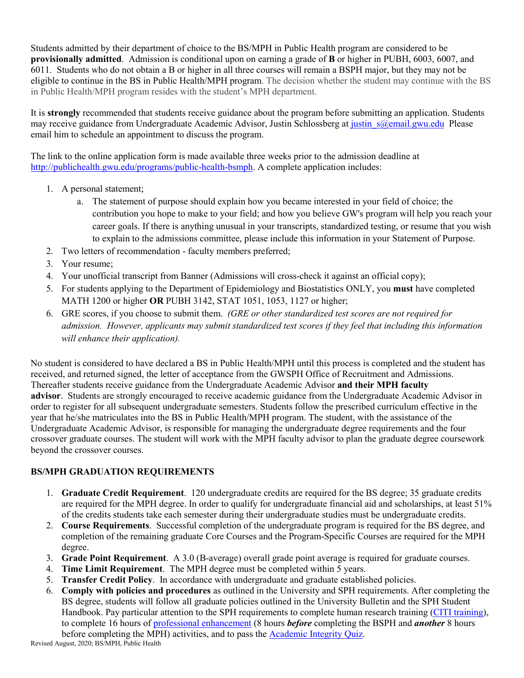Students admitted by their department of choice to the BS/MPH in Public Health program are considered to be **provisionally admitted**. Admission is conditional upon on earning a grade of **B** or higher in PUBH, 6003, 6007, and 6011. Students who do not obtain a B or higher in all three courses will remain a BSPH major, but they may not be eligible to continue in the BS in Public Health/MPH program. The decision whether the student may continue with the BS in Public Health/MPH program resides with the student's MPH department.

It is **strongly** recommended that students receive guidance about the program before submitting an application. Students may receive guidance from Undergraduate Academic Advisor, Justin Schlossberg at justin s@email.gwu.edu Please email him to schedule an appointment to discuss the program.

The link to the online application form is made available three weeks prior to the admission deadline at [http://publichealth.gwu.edu/programs/public-health-bsmph.](http://publichealth.gwu.edu/programs/public-health-bsmph) A complete application includes:

- 1. A personal statement;
	- a. The statement of purpose should explain how you became interested in your field of choice; the contribution you hope to make to your field; and how you believe GW's program will help you reach your career goals. If there is anything unusual in your transcripts, standardized testing, or resume that you wish to explain to the admissions committee, please include this information in your Statement of Purpose.
- 2. Two letters of recommendation faculty members preferred;
- 3. Your resume;
- 4. Your unofficial transcript from Banner (Admissions will cross-check it against an official copy);
- 5. For students applying to the Department of Epidemiology and Biostatistics ONLY, you **must** have completed MATH 1200 or higher **OR** PUBH 3142, STAT 1051, 1053, 1127 or higher;
- 6. GRE scores, if you choose to submit them. *(GRE or other standardized test scores are not required for admission. However, applicants may submit standardized test scores if they feel that including this information will enhance their application).*

No student is considered to have declared a BS in Public Health/MPH until this process is completed and the student has received, and returned signed, the letter of acceptance from the GWSPH Office of Recruitment and Admissions. Thereafter students receive guidance from the Undergraduate Academic Advisor **and their MPH faculty advisor**. Students are strongly encouraged to receive academic guidance from the Undergraduate Academic Advisor in order to register for all subsequent undergraduate semesters. Students follow the prescribed curriculum effective in the year that he/she matriculates into the BS in Public Health/MPH program. The student, with the assistance of the Undergraduate Academic Advisor, is responsible for managing the undergraduate degree requirements and the four crossover graduate courses. The student will work with the MPH faculty advisor to plan the graduate degree coursework beyond the crossover courses.

### **BS/MPH GRADUATION REQUIREMENTS**

- 1. **Graduate Credit Requirement**. 120 undergraduate credits are required for the BS degree; 35 graduate credits are required for the MPH degree. In order to qualify for undergraduate financial aid and scholarships, at least 51% of the credits students take each semester during their undergraduate studies must be undergraduate credits.
- 2. **Course Requirements**. Successful completion of the undergraduate program is required for the BS degree, and completion of the remaining graduate Core Courses and the Program-Specific Courses are required for the MPH degree.
- 3. **Grade Point Requirement**. A 3.0 (B-average) overall grade point average is required for graduate courses.
- 4. **Time Limit Requirement**. The MPH degree must be completed within 5 years.
- 5. **Transfer Credit Policy**. In accordance with undergraduate and graduate established policies.
- 6. **Comply with policies and procedures** as outlined in the University and SPH requirements. After completing the BS degree, students will follow all graduate policies outlined in the University Bulletin and the SPH Student Handbook. Pay particular attention to the SPH requirements to complete human research training [\(CITI training\)](https://www.citiprogram.org/), to complete 16 hours of [professional enhancement](https://publichealth.gwu.edu/sites/default/files/downloads/Professional%20Enhancement%20Policy%20Form%20122018.pdf) (8 hours *before* completing the BSPH and *another* 8 hours before completing the MPH) activities, and to pass the [Academic Integrity Quiz.](https://publichealth.gwu.edu/integrity)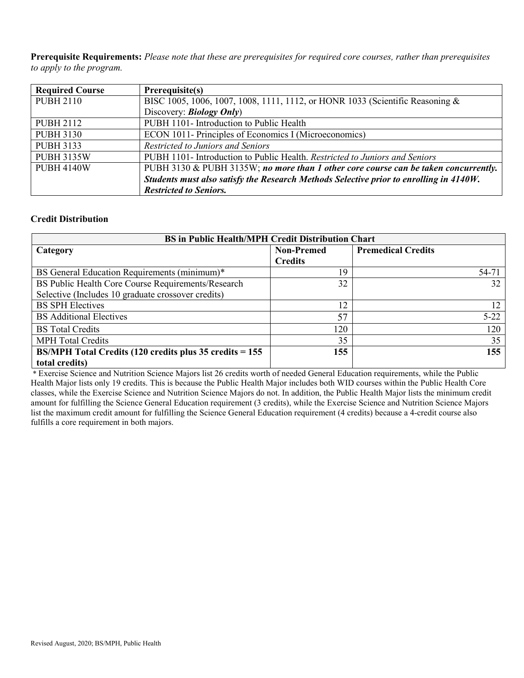**Prerequisite Requirements:** *Please note that these are prerequisites for required core courses, rather than prerequisites to apply to the program.*

| <b>Required Course</b> | Prerequisite(s)                                                                        |
|------------------------|----------------------------------------------------------------------------------------|
| <b>PUBH 2110</b>       | BISC 1005, 1006, 1007, 1008, 1111, 1112, or HONR 1033 (Scientific Reasoning &          |
|                        | Discovery: <i>Biology Only</i> )                                                       |
| <b>PUBH 2112</b>       | PUBH 1101- Introduction to Public Health                                               |
| <b>PUBH 3130</b>       | ECON 1011- Principles of Economics I (Microeconomics)                                  |
| <b>PUBH 3133</b>       | Restricted to Juniors and Seniors                                                      |
| <b>PUBH 3135W</b>      | PUBH 1101- Introduction to Public Health. Restricted to Juniors and Seniors            |
| <b>PUBH 4140W</b>      | PUBH 3130 & PUBH 3135W; no more than 1 other core course can be taken concurrently.    |
|                        | Students must also satisfy the Research Methods Selective prior to enrolling in 4140W. |
|                        | <b>Restricted to Seniors.</b>                                                          |

#### **Credit Distribution**

| <b>BS</b> in Public Health/MPH Credit Distribution Chart  |                   |                           |  |  |  |  |
|-----------------------------------------------------------|-------------------|---------------------------|--|--|--|--|
| Category                                                  | <b>Non-Premed</b> | <b>Premedical Credits</b> |  |  |  |  |
|                                                           | <b>Credits</b>    |                           |  |  |  |  |
| BS General Education Requirements (minimum)*              | 19                | 54-71                     |  |  |  |  |
| BS Public Health Core Course Requirements/Research        | 32                | 32                        |  |  |  |  |
| Selective (Includes 10 graduate crossover credits)        |                   |                           |  |  |  |  |
| <b>BS SPH Electives</b>                                   | 12                |                           |  |  |  |  |
| <b>BS</b> Additional Electives                            | 57                | $5 - 22$                  |  |  |  |  |
| <b>BS</b> Total Credits                                   | 120               | 120                       |  |  |  |  |
| <b>MPH Total Credits</b>                                  | 35                | 35                        |  |  |  |  |
| $BS/MPH$ Total Credits (120 credits plus 35 credits = 155 | 155               | 155                       |  |  |  |  |
| total credits)                                            |                   |                           |  |  |  |  |

\* Exercise Science and Nutrition Science Majors list 26 credits worth of needed General Education requirements, while the Public Health Major lists only 19 credits. This is because the Public Health Major includes both WID courses within the Public Health Core classes, while the Exercise Science and Nutrition Science Majors do not. In addition, the Public Health Major lists the minimum credit amount for fulfilling the Science General Education requirement (3 credits), while the Exercise Science and Nutrition Science Majors list the maximum credit amount for fulfilling the Science General Education requirement (4 credits) because a 4-credit course also fulfills a core requirement in both majors.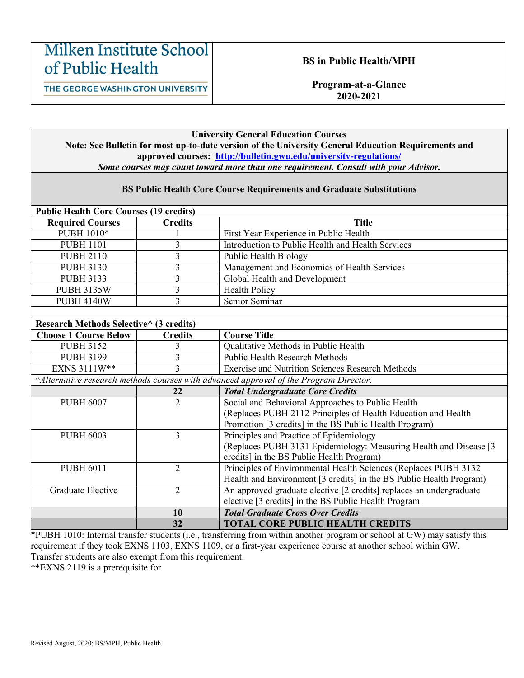## **Milken Institute School** of Public Health

#### **BS in Public Health/MPH**

THE GEORGE WASHINGTON UNIVERSITY

**Program-at-a-Glance 2020-2021**

#### **University General Education Courses Note: See Bulletin for most up-to-date version of the University General Education Requirements and approved courses: <http://bulletin.gwu.edu/university-regulations/>** *Some courses may count toward more than one requirement. Consult with your Advisor.*

| <b>BS Public Health Core Course Requirements and Graduate Substitutions</b>          |                         |                                                                     |  |  |  |  |
|--------------------------------------------------------------------------------------|-------------------------|---------------------------------------------------------------------|--|--|--|--|
| <b>Public Health Core Courses (19 credits)</b>                                       |                         |                                                                     |  |  |  |  |
| <b>Required Courses</b>                                                              | <b>Credits</b>          | <b>Title</b>                                                        |  |  |  |  |
| PUBH 1010*                                                                           |                         | First Year Experience in Public Health                              |  |  |  |  |
| <b>PUBH 1101</b>                                                                     | $\overline{3}$          | Introduction to Public Health and Health Services                   |  |  |  |  |
| <b>PUBH 2110</b>                                                                     | $\overline{\mathbf{3}}$ | <b>Public Health Biology</b>                                        |  |  |  |  |
| <b>PUBH 3130</b>                                                                     | $\overline{3}$          | Management and Economics of Health Services                         |  |  |  |  |
| <b>PUBH 3133</b>                                                                     | $\overline{\mathbf{3}}$ | <b>Global Health and Development</b>                                |  |  |  |  |
| <b>PUBH 3135W</b>                                                                    | $\overline{\mathbf{3}}$ | Health Policy                                                       |  |  |  |  |
| <b>PUBH 4140W</b>                                                                    | $\overline{3}$          | Senior Seminar                                                      |  |  |  |  |
|                                                                                      |                         |                                                                     |  |  |  |  |
| Research Methods Selective^ (3 credits)                                              |                         |                                                                     |  |  |  |  |
| <b>Choose 1 Course Below</b>                                                         | <b>Credits</b>          | <b>Course Title</b>                                                 |  |  |  |  |
| <b>PUBH 3152</b>                                                                     | 3                       | Qualitative Methods in Public Health                                |  |  |  |  |
| <b>PUBH 3199</b>                                                                     | $\overline{3}$          | <b>Public Health Research Methods</b>                               |  |  |  |  |
| EXNS 3111W**                                                                         | $\overline{3}$          | <b>Exercise and Nutrition Sciences Research Methods</b>             |  |  |  |  |
| Alternative research methods courses with advanced approval of the Program Director. |                         |                                                                     |  |  |  |  |
|                                                                                      | 22                      | <b>Total Undergraduate Core Credits</b>                             |  |  |  |  |
| <b>PUBH 6007</b>                                                                     | $\overline{2}$          | Social and Behavioral Approaches to Public Health                   |  |  |  |  |
|                                                                                      |                         | (Replaces PUBH 2112 Principles of Health Education and Health       |  |  |  |  |
|                                                                                      |                         | Promotion [3 credits] in the BS Public Health Program)              |  |  |  |  |
| <b>PUBH 6003</b>                                                                     | $\overline{3}$          | Principles and Practice of Epidemiology                             |  |  |  |  |
|                                                                                      |                         | (Replaces PUBH 3131 Epidemiology: Measuring Health and Disease [3   |  |  |  |  |
|                                                                                      |                         | credits] in the BS Public Health Program)                           |  |  |  |  |
| <b>PUBH 6011</b>                                                                     | $\overline{2}$          | Principles of Environmental Health Sciences (Replaces PUBH 3132     |  |  |  |  |
|                                                                                      |                         | Health and Environment [3 credits] in the BS Public Health Program) |  |  |  |  |
| Graduate Elective                                                                    | $\overline{2}$          | An approved graduate elective [2 credits] replaces an undergraduate |  |  |  |  |
|                                                                                      |                         | elective [3 credits] in the BS Public Health Program                |  |  |  |  |
|                                                                                      | 10                      | <b>Total Graduate Cross Over Credits</b>                            |  |  |  |  |
|                                                                                      | 32                      | <b>TOTAL CORE PUBLIC HEALTH CREDITS</b>                             |  |  |  |  |

\*PUBH 1010: Internal transfer students (i.e., transferring from within another program or school at GW) may satisfy this requirement if they took EXNS 1103, EXNS 1109, or a first-year experience course at another school within GW. Transfer students are also exempt from this requirement.

\*\*EXNS 2119 is a prerequisite for